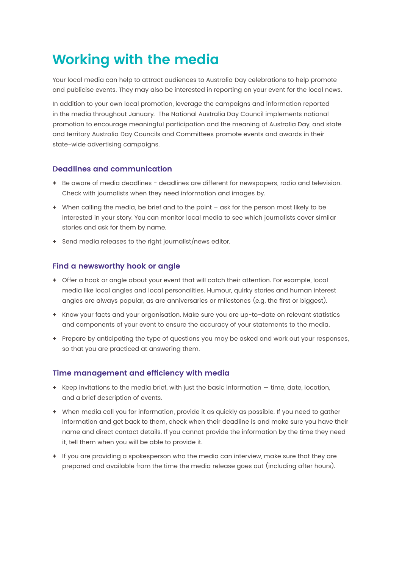# **Working with the media**

Your local media can help to attract audiences to Australia Day celebrations to help promote and publicise events. They may also be interested in reporting on your event for the local news.

In addition to your own local promotion, leverage the campaigns and information reported in the media throughout January. The National Australia Day Council implements national promotion to encourage meaningful participation and the meaning of Australia Day, and state and territory Australia Day Councils and Committees promote events and awards in their state-wide advertising campaigns.

# **Deadlines and communication**

- **+** Be aware of media deadlines deadlines are different for newspapers, radio and television. Check with journalists when they need information and images by.
- **+** When calling the media, be brief and to the point ask for the person most likely to be interested in your story. You can monitor local media to see which journalists cover similar stories and ask for them by name.
- **+** Send media releases to the right journalist/news editor.

## **Find a newsworthy hook or angle**

- **+** Offer a hook or angle about your event that will catch their attention. For example, local media like local angles and local personalities. Humour, quirky stories and human interest angles are always popular, as are anniversaries or milestones (e.g. the first or biggest).
- **+** Know your facts and your organisation. Make sure you are up-to-date on relevant statistics and components of your event to ensure the accuracy of your statements to the media.
- **+** Prepare by anticipating the type of questions you may be asked and work out your responses, so that you are practiced at answering them.

## **Time management and efficiency with media**

- **+** Keep invitations to the media brief, with just the basic information time, date, location, and a brief description of events.
- **+** When media call you for information, provide it as quickly as possible. If you need to gather information and get back to them, check when their deadline is and make sure you have their name and direct contact details. If you cannot provide the information by the time they need it, tell them when you will be able to provide it.
- **+** If you are providing a spokesperson who the media can interview, make sure that they are prepared and available from the time the media release goes out (including after hours).